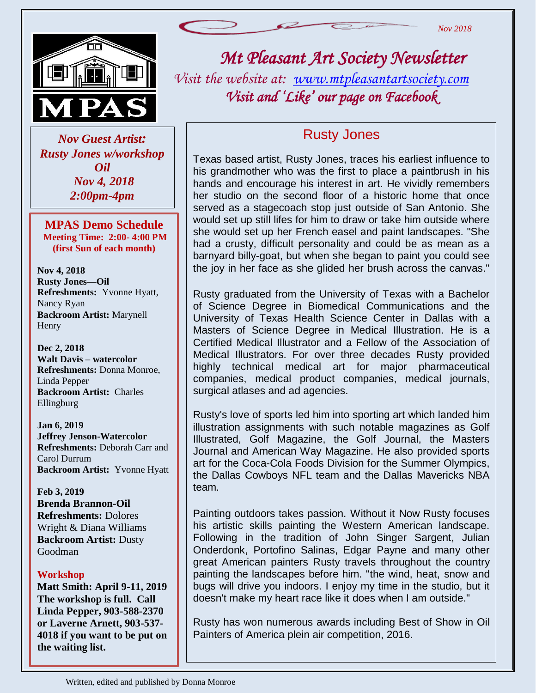

 *Rusty Jones w/workshop Nov Guest Artist: Oil Nov 4, 2018 2:00pm-4pm*

**MPAS Demo Schedule Meeting Time: 2:00- 4:00 PM (first Sun of each month)**

**Nov 4, 2018 Rusty Jones—Oil Refreshments:** Yvonne Hyatt, Nancy Ryan **Backroom Artist:** Marynell Henry

**Dec 2, 2018 Walt Davis – watercolor Refreshments:** Donna Monroe, Linda Pepper **Backroom Artist:** Charles Ellingburg

**Jan 6, 2019 Jeffrey Jenson-Watercolor Refreshments:** Deborah Carr and Carol Durrum **Backroom Artist:** Yvonne Hyatt

**Feb 3, 2019 Brenda Brannon-Oil Refreshments:** Dolores Wright & Diana Williams **Backroom Artist:** Dusty Goodman

#### **Workshop**

**Matt Smith: April 9-11, 2019 The workshop is full. Call Linda Pepper, 903-588-2370 or Laverne Arnett, 903-537- 4018 if you want to be put on the waiting list.**



# *Mt Pleasant Art Society Newsletter*

*Visit the website at: [www.mtpleasantartsociety.com](http://www.mtpleasantartsociety.com/) Visit and 'Like' our page on Facebook* 

#### Rusty Jones

Texas based artist, Rusty Jones, traces his earliest influence to his grandmother who was the first to place a paintbrush in his hands and encourage his interest in art. He vividly remembers her studio on the second floor of a historic home that once served as a stagecoach stop just outside of San Antonio. She would set up still lifes for him to draw or take him outside where she would set up her French easel and paint landscapes. "She had a crusty, difficult personality and could be as mean as a barnyard billy-goat, but when she began to paint you could see the joy in her face as she glided her brush across the canvas."

Rusty graduated from the University of Texas with a Bachelor of Science Degree in Biomedical Communications and the University of Texas Health Science Center in Dallas with a Masters of Science Degree in Medical Illustration. He is a Certified Medical Illustrator and a Fellow of the Association of Medical Illustrators. For over three decades Rusty provided highly technical medical art for major pharmaceutical companies, medical product companies, medical journals, surgical atlases and ad agencies.

Rusty's love of sports led him into sporting art which landed him illustration assignments with such notable magazines as Golf Illustrated, Golf Magazine, the Golf Journal, the Masters Journal and American Way Magazine. He also provided sports art for the Coca-Cola Foods Division for the Summer Olympics, the Dallas Cowboys NFL team and the Dallas Mavericks NBA team.

י<br>. doesn't make my heart race like it does when I am outside." Painting outdoors takes passion. Without it Now Rusty focuses his artistic skills painting the Western American landscape. Following in the tradition of John Singer Sargent, Julian Onderdonk, Portofino Salinas, Edgar Payne and many other great American painters Rusty travels throughout the country painting the landscapes before him. "the wind, heat, snow and bugs will drive you indoors. I enjoy my time in the studio, but it

Rusty has won numerous awards including Best of Show in Oil Painters of America plein air competition, 2016.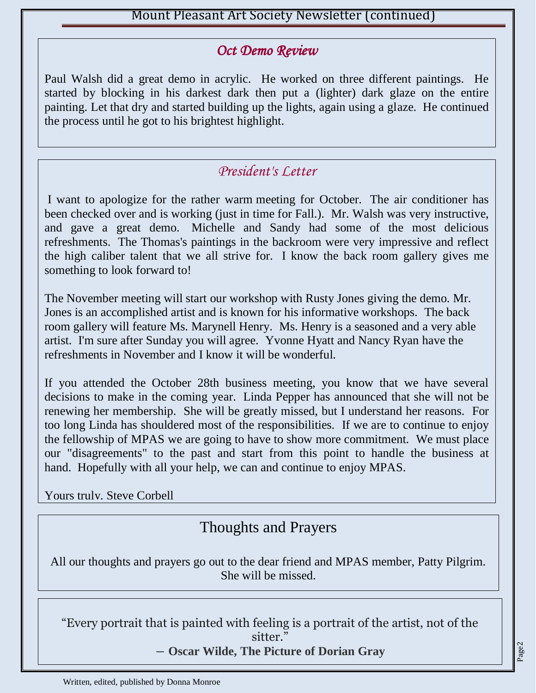#### *Oct Demo Review*

Paul Walsh did a great demo in acrylic. He worked on three different paintings. He started by blocking in his darkest dark then put a (lighter) dark glaze on the entire painting. Let that dry and started building up the lights, again using a glaze. He continued the process until he got to his brightest highlight.

### *President's Letter*

I want to apologize for the rather warm meeting for October. The air conditioner has been checked over and is working (just in time for Fall.). Mr. Walsh was very instructive, and gave a great demo. Michelle and Sandy had some of the most delicious refreshments. The Thomas's paintings in the backroom were very impressive and reflect the high caliber talent that we all strive for. I know the back room gallery gives me something to look forward to!

The November meeting will start our workshop with Rusty Jones giving the demo. Mr. Jones is an accomplished artist and is known for his informative workshops. The back room gallery will feature Ms. Marynell Henry. Ms. Henry is a seasoned and a very able artist. I'm sure after Sunday you will agree. Yvonne Hyatt and Nancy Ryan have the refreshments in November and I know it will be wonderful.

If you attended the October 28th business meeting, you know that we have several decisions to make in the coming year. Linda Pepper has announced that she will not be renewing her membership. She will be greatly missed, but I understand her reasons. For too long Linda has shouldered most of the responsibilities. If we are to continue to enjoy the fellowship of MPAS we are going to have to show more commitment. We must place our "disagreements" to the past and start from this point to handle the business at hand. Hopefully with all your help, we can and continue to enjoy MPAS.

Yours truly, Steve Corbell

# Thoughts and Prayers

All our thoughts and prayers go out to the dear friend and MPAS member, Patty Pilgrim. She will be missed.

"Every portrait that is painted with feeling is a portrait of the artist, not of the sitter."

― **Oscar Wilde, [The Picture of Dorian Gray](https://www.goodreads.com/work/quotes/1858012)**